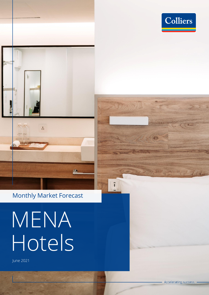



### Monthly Market Forecast

# MENA Hotels

June 2021

 $\frac{1}{3}$ 

116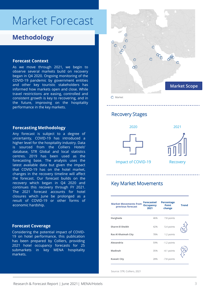### Market Forecast

### **Methodology**

#### **Forecast Context**

As we move through 2021, we begin to observe several markets build on recovery began in Q4 2020. Ongoing monitoring of the COVID-19 pandemic by government entities and other key touristic stakeholders has informed how markets open and close. While travel restrictions are easing, controlled and consistent growth is key to recovering, and in the future, improving on the hospitality performance in the key markets.

#### **Forecasting Methodology**

Any forecast is subject to a degree of uncertainty, COVID-19 has introduced a higher level for the hospitality industry. Data is sourced from the Colliers Hotels' database, STR Global and local statistics centres. 2019 has been used as the forecasting base. The analysis uses the latest available data but given the impact that COVID-19 has on the hotel market, changes in the recovery timeline will affect the forecast. Our forecast builds on the recovery which began in Q4 2020 and continues this recovery through FY 2021. The 2021 forecast accounts for hotel closures which June be prolonged as a result of COVID-19 or other forms of economic hardship.

#### **Forecast Coverage**

Considering the potential impact of COVID-19 on hotel performance, this publication has been prepared by Colliers, providing 2021 hotel occupancy forecasts for 25 submarkets in key MENA hospitality markets.



Recovery Stages







Impact of COVID-19

#### Key Market Movements

| <b>Market Movements from</b><br>previous forecast | <b>Forecasted</b><br><b>Occupancy</b><br>2021 | <b>Percentage</b><br>Point<br>change | <b>Trend</b> |
|---------------------------------------------------|-----------------------------------------------|--------------------------------------|--------------|
| Hurghada                                          | 46%                                           | 7.8 points                           |              |
| <b>Sharm El Sheikh</b>                            | 42%                                           | 5.4 points                           |              |
| <b>Ras Al Khaimah City</b>                        | 78%                                           | 1.2 points                           |              |
| Alexandria                                        | 59%                                           | -1.2 points                          |              |
| Madinah                                           | 35%                                           | -4.1 points                          |              |
| <b>Kuwait City</b>                                | 28%                                           | -7.8 points                          |              |

Source: STR; Colliers, 2021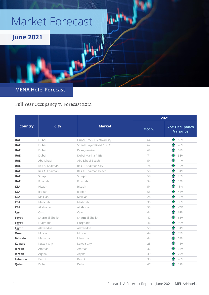# Market Forecast



#### **MENA Hotel Forecast**

Full Year Occupancy % Forecast 2021

|                | <b>City</b>     | <b>Market</b>               | 2021  |                                  |
|----------------|-----------------|-----------------------------|-------|----------------------------------|
| <b>Country</b> |                 |                             | Occ % | <b>YoY Occupancy</b><br>Variance |
| <b>UAE</b>     | Dubai           | Dubai Creek / Festival City | 64    | 50%                              |
| <b>UAE</b>     | Dubai           | Sheikh Zayed Road / DIFC    | 62    | 46%                              |
| <b>UAE</b>     | Dubai           | Palm Jumeirah               | 68    | 59%                              |
| <b>UAE</b>     | Dubai           | Dubai Marina / JBR          | 71    | 38%                              |
| <b>UAE</b>     | Abu Dhabi       | Abu Dhabi Beach             | 54    | 14%                              |
| <b>UAE</b>     | Ras Al Khaimah  | Ras Al Khaimah City         | 78    | 12%                              |
| <b>UAE</b>     | Ras Al Khaimah  | Ras Al Khaimah Beach        | 58    | 31%                              |
| <b>UAE</b>     | Sharjah         | Sharjah                     | 58    | 26%                              |
| <b>UAE</b>     | Fujairah        | Fujairah                    | 54    | 14%                              |
| <b>KSA</b>     | Riyadh          | Riyadh                      | 54    | 8%                               |
| <b>KSA</b>     | Jeddah          | Jeddah                      | 55    | 43%                              |
| <b>KSA</b>     | Makkah          | Makkah                      | 28    | 35%                              |
| <b>KSA</b>     | Madinah         | Madinah                     | 35    | 33%                              |
| <b>KSA</b>     | Al Khobar       | Al Khobar                   | 53    | $-2%$                            |
| <b>Egypt</b>   | Cairo           | Cairo                       | 44    | 62%                              |
| Egypt          | Sharm El Sheikh | Sharm El Sheikh             | 42    | 81%                              |
| <b>Egypt</b>   | Hurghada        | Hurghada                    | 46    | 92%                              |
| Egypt          | Alexandria      | Alexandria                  | 59    | 31%                              |
| Oman           | Muscat          | Muscat                      | 44    | 78%                              |
| <b>Bahrain</b> | Manama          | Manama                      | 44    | 58%                              |
| <b>Kuwait</b>  | Kuwait City     | Kuwait City                 | 28    | 15%                              |
| <b>Jordan</b>  | Amman           | Amman                       | 32    | 35%                              |
| Jordan         | Aqaba           | Aqaba                       | 39    | 24%                              |
| Lebanon        | Beirut          | Beirut                      | 33    | 40%                              |
| Qatar          | Doha            | Doha                        | 67    | 12%                              |